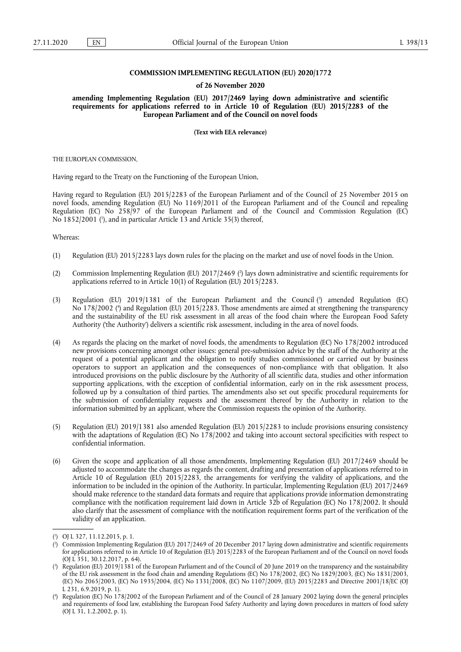### **COMMISSION IMPLEMENTING REGULATION (EU) 2020/1772**

#### **of 26 November 2020**

**amending Implementing Regulation (EU) 2017/2469 laying down administrative and scientific requirements for applications referred to in Article 10 of Regulation (EU) 2015/2283 of the European Parliament and of the Council on novel foods** 

**(Text with EEA relevance)** 

THE EUROPEAN COMMISSION,

Having regard to the Treaty on the Functioning of the European Union,

Having regard to Regulation (EU) 2015/2283 of the European Parliament and of the Council of 25 November 2015 on novel foods, amending Regulation (EU) No 1169/2011 of the European Parliament and of the Council and repealing Regulation (EC) No 258/97 of the European Parliament and of the Council and Commission Regulation (EC) No 1852/2001 ( 1 [\),](#page-0-0) and in particular Article 13 and Article 35(3) thereof,

<span id="page-0-4"></span>Whereas:

- (1) Regulation (EU) 2015/2283 lays down rules for the placing on the market and use of novel foods in the Union.
- <span id="page-0-5"></span>(2) Commission Implementing Regulation (EU) 2017/2469 [\(](#page-0-1) 2 ) lays down administrative and scientific requirements for applications referred to in Article 10(1) of Regulation (EU) 2015/2283.
- <span id="page-0-7"></span><span id="page-0-6"></span>(3[\)](#page-0-2) Regulation (EU) 2019/1381 of the European Parliament and the Council (<sup>3</sup>) amended Regulation (EC) No 178/2002 ( 4 [\)](#page-0-3) and Regulation (EU) 2015/2283. Those amendments are aimed at strengthening the transparency and the sustainability of the EU risk assessment in all areas of the food chain where the European Food Safety Authority ('the Authority') delivers a scientific risk assessment, including in the area of novel foods.
- (4) As regards the placing on the market of novel foods, the amendments to Regulation (EC) No 178/2002 introduced new provisions concerning amongst other issues: general pre-submission advice by the staff of the Authority at the request of a potential applicant and the obligation to notify studies commissioned or carried out by business operators to support an application and the consequences of non-compliance with that obligation. It also introduced provisions on the public disclosure by the Authority of all scientific data, studies and other information supporting applications, with the exception of confidential information, early on in the risk assessment process, followed up by a consultation of third parties. The amendments also set out specific procedural requirements for the submission of confidentiality requests and the assessment thereof by the Authority in relation to the information submitted by an applicant, where the Commission requests the opinion of the Authority.
- (5) Regulation (EU) 2019/1381 also amended Regulation (EU) 2015/2283 to include provisions ensuring consistency with the adaptations of Regulation (EC) No 178/2002 and taking into account sectoral specificities with respect to confidential information.
- (6) Given the scope and application of all those amendments, Implementing Regulation (EU) 2017/2469 should be adjusted to accommodate the changes as regards the content, drafting and presentation of applications referred to in Article 10 of Regulation (EU) 2015/2283, the arrangements for verifying the validity of applications, and the information to be included in the opinion of the Authority. In particular, Implementing Regulation (EU) 2017/2469 should make reference to the standard data formats and require that applications provide information demonstrating compliance with the notification requirement laid down in Article 32b of Regulation (EC) No 178/2002. It should also clarify that the assessment of compliance with the notification requirement forms part of the verification of the validity of an application.

<span id="page-0-0"></span>[<sup>\(</sup>](#page-0-4) 1 ) OJ L 327, 11.12.2015, p. 1.

<span id="page-0-1"></span>[<sup>\(</sup>](#page-0-5) 2 ) Commission Implementing Regulation (EU) 2017/2469 of 20 December 2017 laying down administrative and scientific requirements for applications referred to in Article 10 of Regulation (EU) 2015/2283 of the European Parliament and of the Council on novel foods (OJ L 351, 30.12.2017, p. 64).

<span id="page-0-2"></span>[<sup>\(</sup>](#page-0-6) 3 ) Regulation (EU) 2019/1381 of the European Parliament and of the Council of 20 June 2019 on the transparency and the sustainability of the EU risk assessment in the food chain and amending Regulations (EC) No 178/2002, (EC) No 1829/2003, (EC) No 1831/2003, (EC) No 2065/2003, (EC) No 1935/2004, (EC) No 1331/2008, (EC) No 1107/2009, (EU) 2015/2283 and Directive 2001/18/EC (OJ L 231, 6.9.2019, p. 1).

<span id="page-0-3"></span>[<sup>\(</sup>](#page-0-7) 4 ) Regulation (EC) No 178/2002 of the European Parliament and of the Council of 28 January 2002 laying down the general principles and requirements of food law, establishing the European Food Safety Authority and laying down procedures in matters of food safety (OJ L 31, 1.2.2002, p. 1).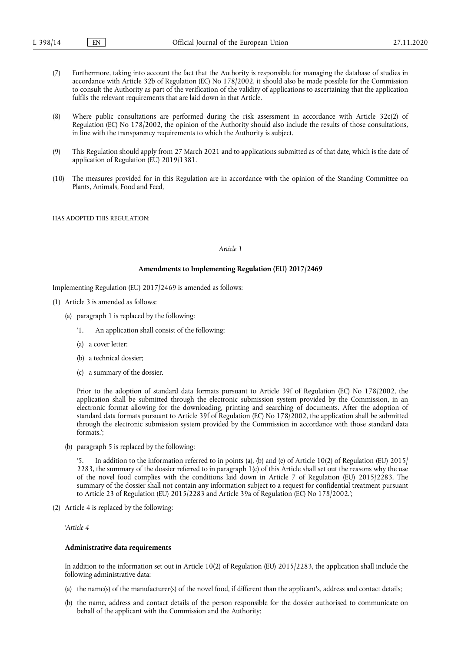- (7) Furthermore, taking into account the fact that the Authority is responsible for managing the database of studies in accordance with Article 32b of Regulation (EC) No 178/2002, it should also be made possible for the Commission to consult the Authority as part of the verification of the validity of applications to ascertaining that the application fulfils the relevant requirements that are laid down in that Article.
- (8) Where public consultations are performed during the risk assessment in accordance with Article 32c(2) of Regulation (EC) No 178/2002, the opinion of the Authority should also include the results of those consultations, in line with the transparency requirements to which the Authority is subject.
- (9) This Regulation should apply from 27 March 2021 and to applications submitted as of that date, which is the date of application of Regulation (EU) 2019/1381.
- (10) The measures provided for in this Regulation are in accordance with the opinion of the Standing Committee on Plants, Animals, Food and Feed,

HAS ADOPTED THIS REGULATION:

### *Article 1*

#### **Amendments to Implementing Regulation (EU) 2017/2469**

Implementing Regulation (EU) 2017/2469 is amended as follows:

- (1) Article 3 is amended as follows:
	- (a) paragraph 1 is replaced by the following:
		- '1. An application shall consist of the following:
		- (a) a cover letter;
		- (b) a technical dossier;
		- (c) a summary of the dossier.

Prior to the adoption of standard data formats pursuant to Article 39f of Regulation (EC) No 178/2002, the application shall be submitted through the electronic submission system provided by the Commission, in an electronic format allowing for the downloading, printing and searching of documents. After the adoption of standard data formats pursuant to Article 39f of Regulation (EC) No 178/2002, the application shall be submitted through the electronic submission system provided by the Commission in accordance with those standard data formats.';

(b) paragraph 5 is replaced by the following:

In addition to the information referred to in points (a), (b) and (e) of Article 10(2) of Regulation (EU) 2015/ 2283, the summary of the dossier referred to in paragraph 1(c) of this Article shall set out the reasons why the use of the novel food complies with the conditions laid down in Article 7 of Regulation (EU) 2015/2283. The summary of the dossier shall not contain any information subject to a request for confidential treatment pursuant to Article 23 of Regulation (EU) 2015/2283 and Article 39a of Regulation (EC) No 178/2002.';

(2) Article 4 is replaced by the following:

*'Article 4* 

#### **Administrative data requirements**

In addition to the information set out in Article 10(2) of Regulation (EU) 2015/2283, the application shall include the following administrative data:

- (a) the name(s) of the manufacturer(s) of the novel food, if different than the applicant's, address and contact details;
- (b) the name, address and contact details of the person responsible for the dossier authorised to communicate on behalf of the applicant with the Commission and the Authority;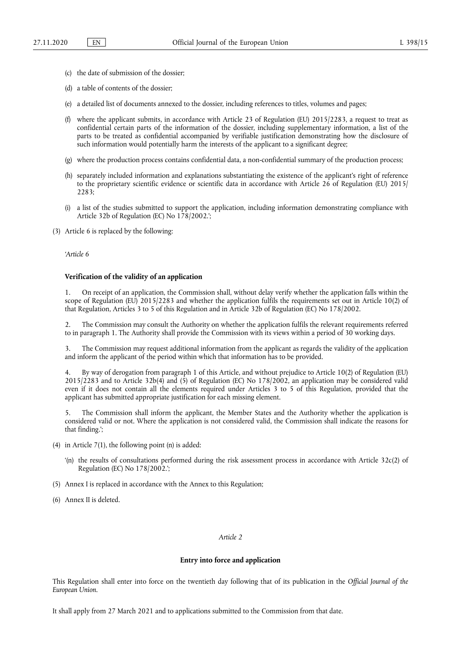- (c) the date of submission of the dossier;
- (d) a table of contents of the dossier;
- (e) a detailed list of documents annexed to the dossier, including references to titles, volumes and pages;
- (f) where the applicant submits, in accordance with Article 23 of Regulation (EU)  $2015/2283$ , a request to treat as confidential certain parts of the information of the dossier, including supplementary information, a list of the parts to be treated as confidential accompanied by verifiable justification demonstrating how the disclosure of such information would potentially harm the interests of the applicant to a significant degree;
- (g) where the production process contains confidential data, a non-confidential summary of the production process;
- (h) separately included information and explanations substantiating the existence of the applicant's right of reference to the proprietary scientific evidence or scientific data in accordance with Article 26 of Regulation (EU) 2015/ 2283;
- (i) a list of the studies submitted to support the application, including information demonstrating compliance with Article 32b of Regulation (EC) No 178/2002.';

(3) Article 6 is replaced by the following:

*'Article 6* 

#### **Verification of the validity of an application**

1. On receipt of an application, the Commission shall, without delay verify whether the application falls within the scope of Regulation (EU) 2015/2283 and whether the application fulfils the requirements set out in Article 10(2) of that Regulation, Articles 3 to 5 of this Regulation and in Article 32b of Regulation (EC) No 178/2002.

2. The Commission may consult the Authority on whether the application fulfils the relevant requirements referred to in paragraph 1. The Authority shall provide the Commission with its views within a period of 30 working days.

3. The Commission may request additional information from the applicant as regards the validity of the application and inform the applicant of the period within which that information has to be provided.

4. By way of derogation from paragraph 1 of this Article, and without prejudice to Article 10(2) of Regulation (EU) 2015/2283 and to Article 32b(4) and (5) of Regulation (EC) No 178/2002, an application may be considered valid even if it does not contain all the elements required under Articles 3 to 5 of this Regulation, provided that the applicant has submitted appropriate justification for each missing element.

5. The Commission shall inform the applicant, the Member States and the Authority whether the application is considered valid or not. Where the application is not considered valid, the Commission shall indicate the reasons for that finding.';

- (4) in Article 7(1), the following point (n) is added:
	- '(n) the results of consultations performed during the risk assessment process in accordance with Article  $32c(2)$  of Regulation (EC) No 178/2002.';
- (5) Annex I is replaced in accordance with the Annex to this Regulation;
- (6) Annex II is deleted.

## *Article 2*

#### **Entry into force and application**

This Regulation shall enter into force on the twentieth day following that of its publication in the *Official Journal of the European Union*.

It shall apply from 27 March 2021 and to applications submitted to the Commission from that date.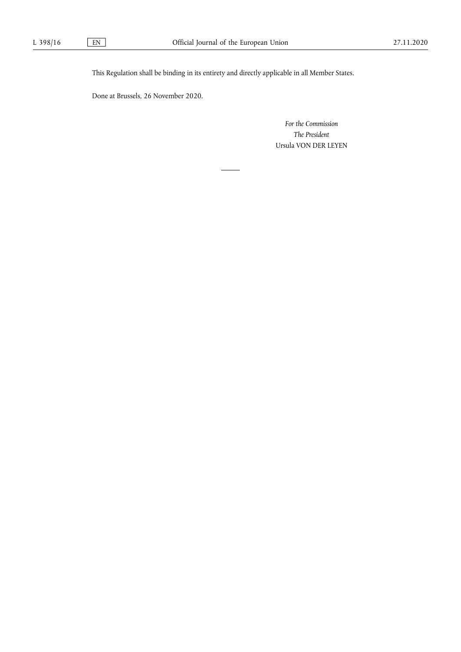This Regulation shall be binding in its entirety and directly applicable in all Member States.

Done at Brussels, 26 November 2020.

*For the Commission The President*  Ursula VON DER LEYEN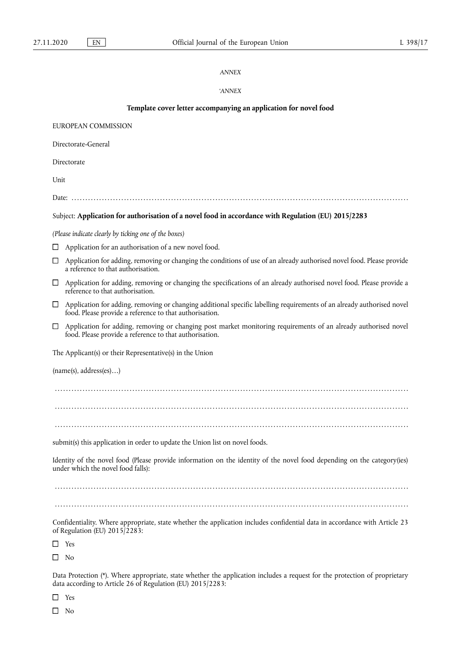## *ANNEX*

# '*ANNEX*

| Template cover letter accompanying an application for novel food                                                                                                                            |  |  |
|---------------------------------------------------------------------------------------------------------------------------------------------------------------------------------------------|--|--|
| EUROPEAN COMMISSION                                                                                                                                                                         |  |  |
| Directorate-General                                                                                                                                                                         |  |  |
| Directorate                                                                                                                                                                                 |  |  |
| Unit                                                                                                                                                                                        |  |  |
|                                                                                                                                                                                             |  |  |
| Subject: Application for authorisation of a novel food in accordance with Regulation (EU) 2015/2283                                                                                         |  |  |
| (Please indicate clearly by ticking one of the boxes)                                                                                                                                       |  |  |
| Application for an authorisation of a new novel food.                                                                                                                                       |  |  |
| Application for adding, removing or changing the conditions of use of an already authorised novel food. Please provide<br>□<br>a reference to that authorisation.                           |  |  |
| Application for adding, removing or changing the specifications of an already authorised novel food. Please provide a<br>$\Box$<br>reference to that authorisation.                         |  |  |
| Application for adding, removing or changing additional specific labelling requirements of an already authorised novel<br>$\Box$<br>food. Please provide a reference to that authorisation. |  |  |
| Application for adding, removing or changing post market monitoring requirements of an already authorised novel<br>$\Box$<br>food. Please provide a reference to that authorisation.        |  |  |
| The Applicant(s) or their Representative(s) in the Union                                                                                                                                    |  |  |
| (name(s), address(es))                                                                                                                                                                      |  |  |
|                                                                                                                                                                                             |  |  |
|                                                                                                                                                                                             |  |  |
|                                                                                                                                                                                             |  |  |
| submit(s) this application in order to update the Union list on novel foods.                                                                                                                |  |  |
| Identity of the novel food (Please provide information on the identity of the novel food depending on the category(ies)<br>under which the novel food falls):                               |  |  |
|                                                                                                                                                                                             |  |  |
|                                                                                                                                                                                             |  |  |
| Confidentiality. Where appropriate, state whether the application includes confidential data in accordance with Article 23<br>of Regulation (EU) 2015/2283:                                 |  |  |
| $\Box$ Yes                                                                                                                                                                                  |  |  |
| $\Box$ No                                                                                                                                                                                   |  |  |
| Data Protection $(*)$ Where appropriate state whether the application includes a request for the protection of proprietary                                                                  |  |  |

<span id="page-4-0"></span>Data Protection [\(\\*\).](#page-5-0) Where appropriate, state whether the application includes a request for the protection of proprietary data according to Article 26 of Regulation (EU) 2015/2283:

 $\hfill\Box\quad$  Yes

 $\hfill \square$  No